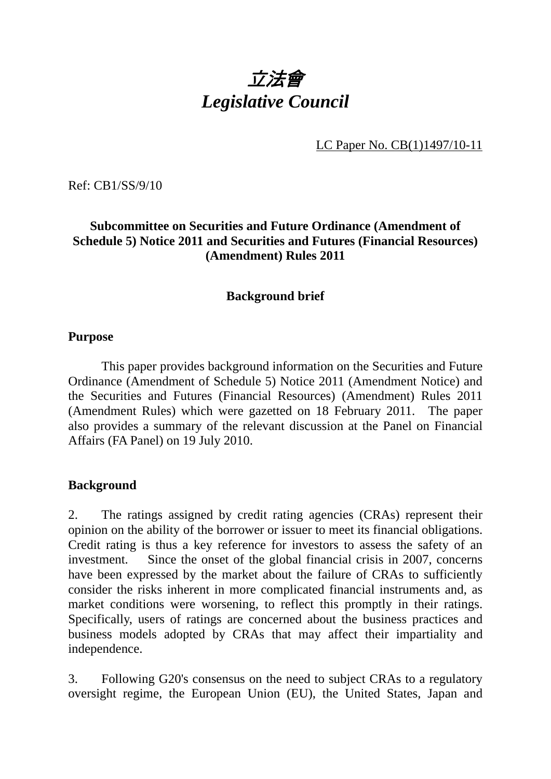# 立法會 *Legislative Council*

LC Paper No. CB(1)1497/10-11

Ref: CB1/SS/9/10

# **Subcommittee on Securities and Future Ordinance (Amendment of Schedule 5) Notice 2011 and Securities and Futures (Financial Resources) (Amendment) Rules 2011**

#### **Background brief**

#### **Purpose**

 This paper provides background information on the Securities and Future Ordinance (Amendment of Schedule 5) Notice 2011 (Amendment Notice) and the Securities and Futures (Financial Resources) (Amendment) Rules 2011 (Amendment Rules) which were gazetted on 18 February 2011. The paper also provides a summary of the relevant discussion at the Panel on Financial Affairs (FA Panel) on 19 July 2010.

#### **Background**

2. The ratings assigned by credit rating agencies (CRAs) represent their opinion on the ability of the borrower or issuer to meet its financial obligations. Credit rating is thus a key reference for investors to assess the safety of an investment. Since the onset of the global financial crisis in 2007, concerns have been expressed by the market about the failure of CRAs to sufficiently consider the risks inherent in more complicated financial instruments and, as market conditions were worsening, to reflect this promptly in their ratings. Specifically, users of ratings are concerned about the business practices and business models adopted by CRAs that may affect their impartiality and independence.

3. Following G20's consensus on the need to subject CRAs to a regulatory oversight regime, the European Union (EU), the United States, Japan and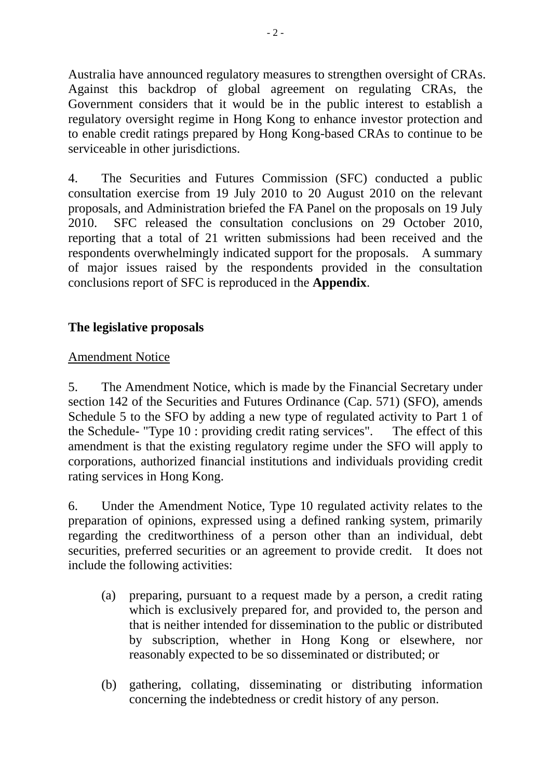Australia have announced regulatory measures to strengthen oversight of CRAs. Against this backdrop of global agreement on regulating CRAs, the Government considers that it would be in the public interest to establish a regulatory oversight regime in Hong Kong to enhance investor protection and to enable credit ratings prepared by Hong Kong-based CRAs to continue to be serviceable in other jurisdictions.

4. The Securities and Futures Commission (SFC) conducted a public consultation exercise from 19 July 2010 to 20 August 2010 on the relevant proposals, and Administration briefed the FA Panel on the proposals on 19 July 2010. SFC released the consultation conclusions on 29 October 2010, reporting that a total of 21 written submissions had been received and the respondents overwhelmingly indicated support for the proposals. A summary of major issues raised by the respondents provided in the consultation conclusions report of SFC is reproduced in the **Appendix**.

# **The legislative proposals**

# Amendment Notice

5. The Amendment Notice, which is made by the Financial Secretary under section 142 of the Securities and Futures Ordinance (Cap. 571) (SFO), amends Schedule 5 to the SFO by adding a new type of regulated activity to Part 1 of the Schedule- "Type 10 : providing credit rating services". The effect of this amendment is that the existing regulatory regime under the SFO will apply to corporations, authorized financial institutions and individuals providing credit rating services in Hong Kong.

6. Under the Amendment Notice, Type 10 regulated activity relates to the preparation of opinions, expressed using a defined ranking system, primarily regarding the creditworthiness of a person other than an individual, debt securities, preferred securities or an agreement to provide credit. It does not include the following activities:

- (a) preparing, pursuant to a request made by a person, a credit rating which is exclusively prepared for, and provided to, the person and that is neither intended for dissemination to the public or distributed by subscription, whether in Hong Kong or elsewhere, nor reasonably expected to be so disseminated or distributed; or
- (b) gathering, collating, disseminating or distributing information concerning the indebtedness or credit history of any person.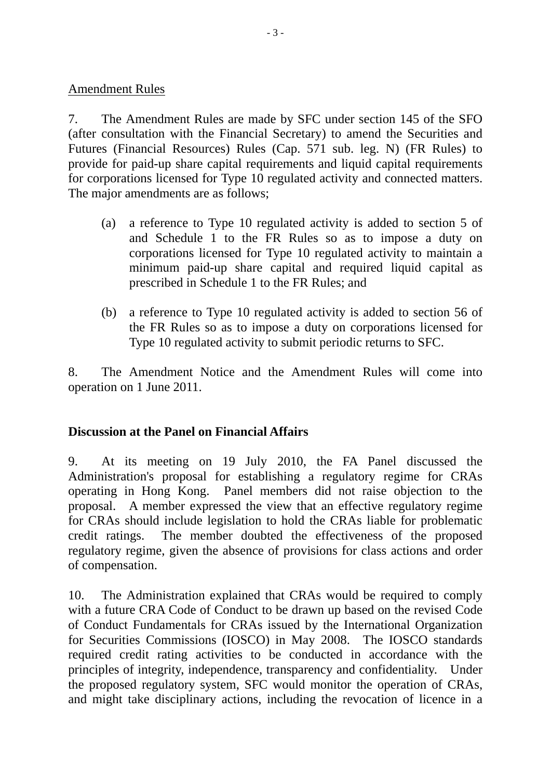### Amendment Rules

7. The Amendment Rules are made by SFC under section 145 of the SFO (after consultation with the Financial Secretary) to amend the Securities and Futures (Financial Resources) Rules (Cap. 571 sub. leg. N) (FR Rules) to provide for paid-up share capital requirements and liquid capital requirements for corporations licensed for Type 10 regulated activity and connected matters. The major amendments are as follows;

- (a) a reference to Type 10 regulated activity is added to section 5 of and Schedule 1 to the FR Rules so as to impose a duty on corporations licensed for Type 10 regulated activity to maintain a minimum paid-up share capital and required liquid capital as prescribed in Schedule 1 to the FR Rules; and
- (b) a reference to Type 10 regulated activity is added to section 56 of the FR Rules so as to impose a duty on corporations licensed for Type 10 regulated activity to submit periodic returns to SFC.

8. The Amendment Notice and the Amendment Rules will come into operation on 1 June 2011.

## **Discussion at the Panel on Financial Affairs**

9. At its meeting on 19 July 2010, the FA Panel discussed the Administration's proposal for establishing a regulatory regime for CRAs operating in Hong Kong. Panel members did not raise objection to the proposal. A member expressed the view that an effective regulatory regime for CRAs should include legislation to hold the CRAs liable for problematic credit ratings. The member doubted the effectiveness of the proposed regulatory regime, given the absence of provisions for class actions and order of compensation.

10. The Administration explained that CRAs would be required to comply with a future CRA Code of Conduct to be drawn up based on the revised Code of Conduct Fundamentals for CRAs issued by the International Organization for Securities Commissions (IOSCO) in May 2008. The IOSCO standards required credit rating activities to be conducted in accordance with the principles of integrity, independence, transparency and confidentiality. Under the proposed regulatory system, SFC would monitor the operation of CRAs, and might take disciplinary actions, including the revocation of licence in a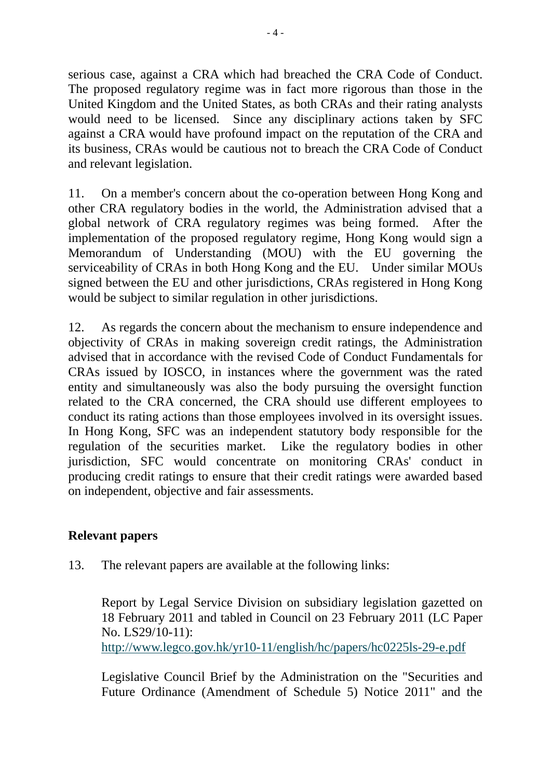serious case, against a CRA which had breached the CRA Code of Conduct. The proposed regulatory regime was in fact more rigorous than those in the United Kingdom and the United States, as both CRAs and their rating analysts would need to be licensed. Since any disciplinary actions taken by SFC against a CRA would have profound impact on the reputation of the CRA and its business, CRAs would be cautious not to breach the CRA Code of Conduct and relevant legislation.

11. On a member's concern about the co-operation between Hong Kong and other CRA regulatory bodies in the world, the Administration advised that a global network of CRA regulatory regimes was being formed. After the implementation of the proposed regulatory regime, Hong Kong would sign a Memorandum of Understanding (MOU) with the EU governing the serviceability of CRAs in both Hong Kong and the EU. Under similar MOUs signed between the EU and other jurisdictions, CRAs registered in Hong Kong would be subject to similar regulation in other jurisdictions.

12. As regards the concern about the mechanism to ensure independence and objectivity of CRAs in making sovereign credit ratings, the Administration advised that in accordance with the revised Code of Conduct Fundamentals for CRAs issued by IOSCO, in instances where the government was the rated entity and simultaneously was also the body pursuing the oversight function related to the CRA concerned, the CRA should use different employees to conduct its rating actions than those employees involved in its oversight issues. In Hong Kong, SFC was an independent statutory body responsible for the regulation of the securities market. Like the regulatory bodies in other jurisdiction, SFC would concentrate on monitoring CRAs' conduct in producing credit ratings to ensure that their credit ratings were awarded based on independent, objective and fair assessments.

# **Relevant papers**

13. The relevant papers are available at the following links:

Report by Legal Service Division on subsidiary legislation gazetted on 18 February 2011 and tabled in Council on 23 February 2011 (LC Paper No. LS29/10-11):

http://www.legco.gov.hk/yr10-11/english/hc/papers/hc0225ls-29-e.pdf

Legislative Council Brief by the Administration on the "Securities and Future Ordinance (Amendment of Schedule 5) Notice 2011" and the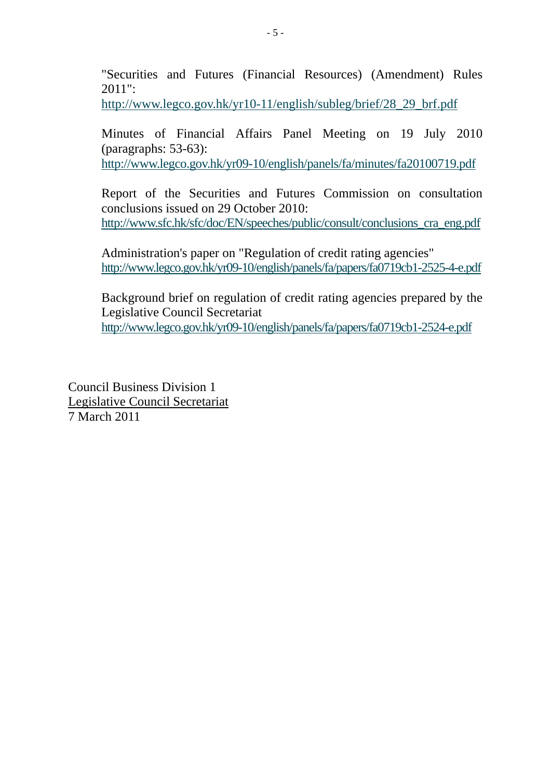"Securities and Futures (Financial Resources) (Amendment) Rules 2011":

http://www.legco.gov.hk/yr10-11/english/subleg/brief/28\_29\_brf.pdf

Minutes of Financial Affairs Panel Meeting on 19 July 2010 (paragraphs: 53-63):

http://www.legco.gov.hk/yr09-10/english/panels/fa/minutes/fa20100719.pdf

Report of the Securities and Futures Commission on consultation conclusions issued on 29 October 2010: http://www.sfc.hk/sfc/doc/EN/speeches/public/consult/conclusions\_cra\_eng.pdf

Administration's paper on "Regulation of credit rating agencies" http://www.legco.gov.hk/yr09-10/english/panels/fa/papers/fa0719cb1-2525-4-e.pdf

Background brief on regulation of credit rating agencies prepared by the Legislative Council Secretariat http://www.legco.gov.hk/yr09-10/english/panels/fa/papers/fa0719cb1-2524-e.pdf

Council Business Division 1 Legislative Council Secretariat 7 March 2011